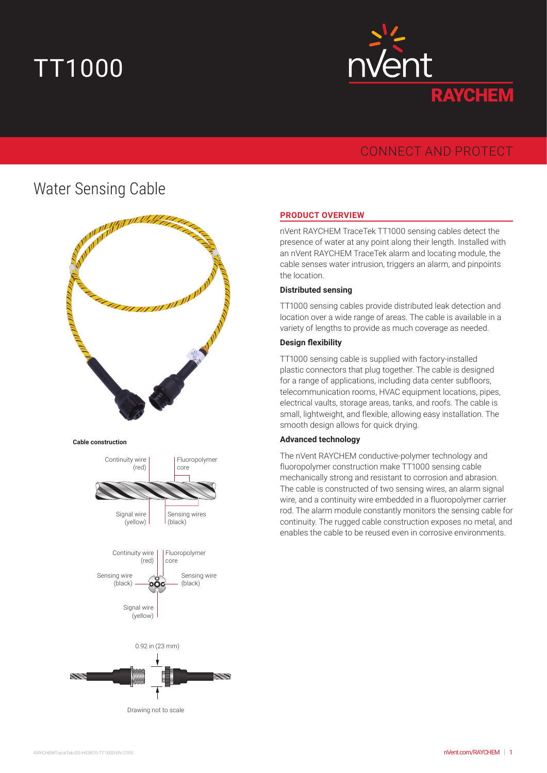# TT1000



## CONNECT AND PROTECT

# Water Sensing Cable









#### **PRODUCT OVERVIEW**

nVent RAYCHEM TraceTek TT1000 sensing cables detect the presence of water at any point along their length. Installed with an nVent RAYCHEM TraceTek alarm and locating module, the cable senses water intrusion, triggers an alarm, and pinpoints the location.

#### **Distributed sensing**

TT1000 sensing cables provide distributed leak detection and location over a wide range of areas. The cable is available in a variety of lengths to provide as much coverage as needed.

#### **Design flexibility**

TT1000 sensing cable is supplied with factory-installed plastic connectors that plug together. The cable is designed for a range of applications, including data center subfloors, telecommunication rooms, HVAC equipment locations, pipes, electrical vaults, storage areas, tanks, and roofs. The cable is small, lightweight, and flexible, allowing easy installation. The smooth design allows for quick drying.

#### **Advanced technology**

The nVent RAYCHEM conductive-polymer technology and fluoropolymer construction make TT1000 sensing cable mechanically strong and resistant to corrosion and abrasion. The cable is constructed of two sensing wires, an alarm signal wire, and a continuity wire embedded in a fluoropolymer carrier rod. The alarm module constantly monitors the sensing cable for continuity. The rugged cable construction exposes no metal, and enables the cable to be reused even in corrosive environments.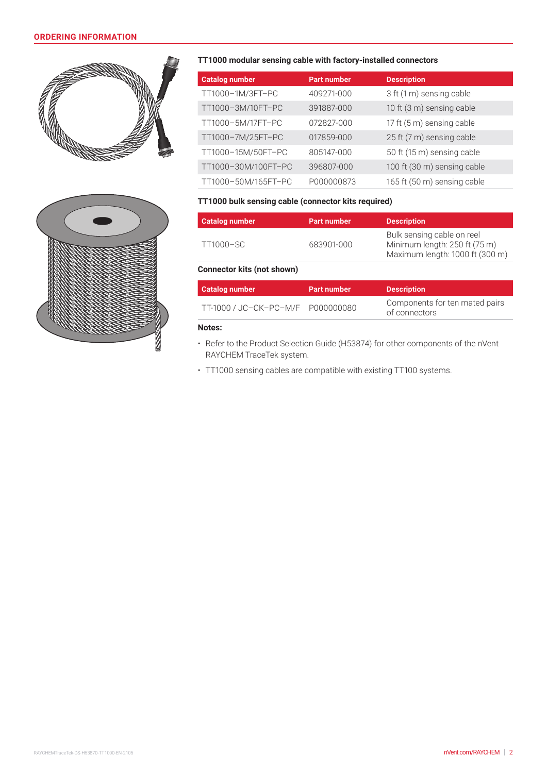#### **ORDERING INFORMATION**





#### **TT1000 modular sensing cable with factory-installed connectors**

| <b>Catalog number</b> | <b>Part number</b> | <b>Description</b>          |
|-----------------------|--------------------|-----------------------------|
| TT1000-1M/3FT-PC      | 409271-000         | 3 ft (1 m) sensing cable    |
| TT1000-3M/10FT-PC     | 391887-000         | 10 ft (3 m) sensing cable   |
| TT1000-5M/17FT-PC     | 072827-000         | 17 ft (5 m) sensing cable   |
| TT1000-7M/25FT-PC     | 017859-000         | 25 ft (7 m) sensing cable   |
| TT1000-15M/50FT-PC    | 805147-000         | 50 ft (15 m) sensing cable  |
| TT1000-30M/100FT-PC   | 396807-000         | 100 ft (30 m) sensing cable |
| TT1000-50M/165FT-PC   | P000000873         | 165 ft (50 m) sensing cable |

#### **TT1000 bulk sensing cable (connector kits required)**

| <b>Catalog number</b>             | <b>Part number</b> | <b>Description</b>                                                                             |
|-----------------------------------|--------------------|------------------------------------------------------------------------------------------------|
| TT1000-SC                         | 683901-000         | Bulk sensing cable on reel<br>Minimum length: 250 ft (75 m)<br>Maximum length: 1000 ft (300 m) |
| <b>Connector kits (not shown)</b> |                    |                                                                                                |

### **Catalog number Part number Description** TT-1000 / JC–CK–PC–M/F <sup>P</sup><sup>000000080</sup> Components for ten mated pairs of connectors

#### **Notes:**

- Refer to the Product Selection Guide (H53874) for other components of the nVent RAYCHEM TraceTek system.
- TT1000 sensing cables are compatible with existing TT100 systems.